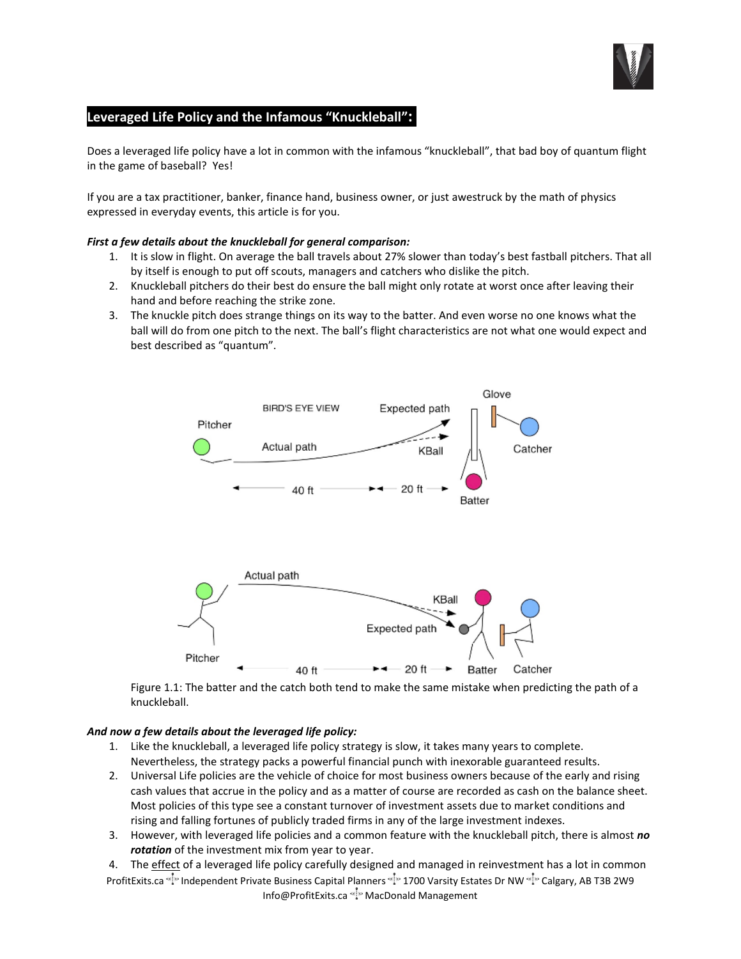

# **Leveraged Life Policy and the Infamous "Knuckleball":**.

Does a leveraged life policy have a lot in common with the infamous "knuckleball", that bad boy of quantum flight in the game of baseball? Yes!

If you are a tax practitioner, banker, finance hand, business owner, or just awestruck by the math of physics expressed in everyday events, this article is for you.

### *First a few details about the knuckleball for general comparison:*

- 1. It is slow in flight. On average the ball travels about 27% slower than today's best fastball pitchers. That all by itself is enough to put off scouts, managers and catchers who dislike the pitch.
- 2. Knuckleball pitchers do their best do ensure the ball might only rotate at worst once after leaving their hand and before reaching the strike zone.
- 3. The knuckle pitch does strange things on its way to the batter. And even worse no one knows what the ball will do from one pitch to the next. The ball's flight characteristics are not what one would expect and best described as "quantum".



Figure 1.1: The batter and the catch both tend to make the same mistake when predicting the path of a knuckleball.

## *And now a few details about the leveraged life policy:*

- 1. Like the knuckleball, a leveraged life policy strategy is slow, it takes many years to complete. Nevertheless, the strategy packs a powerful financial punch with inexorable guaranteed results.
- 2. Universal Life policies are the vehicle of choice for most business owners because of the early and rising cash values that accrue in the policy and as a matter of course are recorded as cash on the balance sheet. Most policies of this type see a constant turnover of investment assets due to market conditions and rising and falling fortunes of publicly traded firms in any of the large investment indexes.
- 3. However, with leveraged life policies and a common feature with the knuckleball pitch, there is almost *no rotation* of the investment mix from year to year.
- ProfitExits.ca "Independent Private Business Capital Planners "In 1700 Varsity Estates Dr NW "In Calgary, AB T3B 2W9" Info@ProfitExits.ca (MacDonald Management 4. The effect of a leveraged life policy carefully designed and managed in reinvestment has a lot in common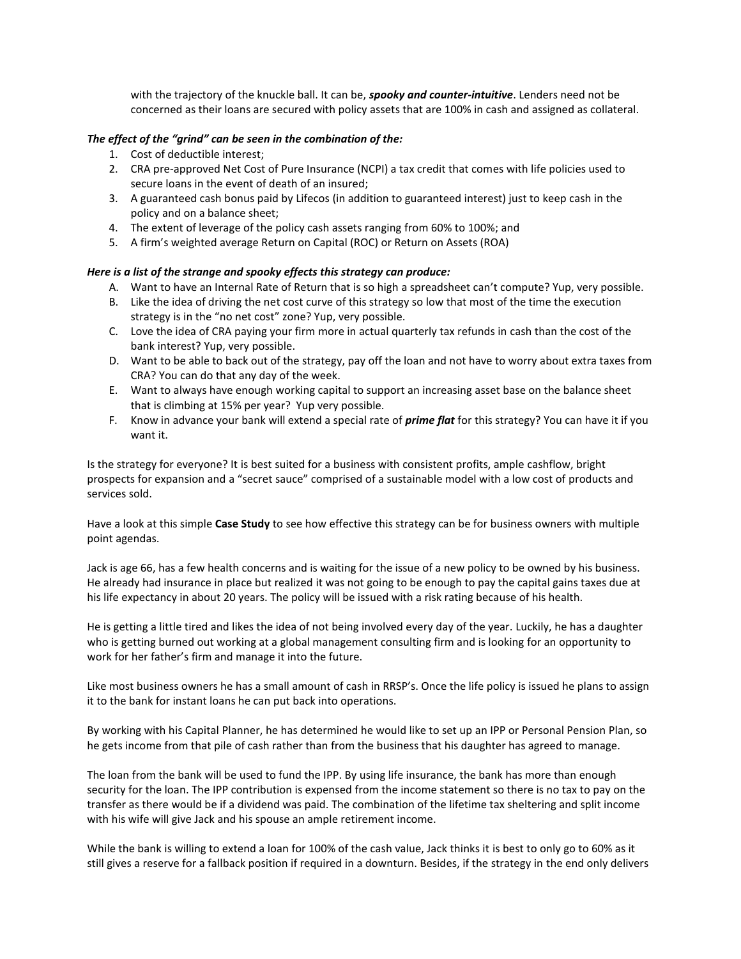with the trajectory of the knuckle ball. It can be, *spooky and counter-intuitive*. Lenders need not be concerned as their loans are secured with policy assets that are 100% in cash and assigned as collateral.

### *The effect of the "grind" can be seen in the combination of the:*

- 1. Cost of deductible interest;
- 2. CRA pre-approved Net Cost of Pure Insurance (NCPI) a tax credit that comes with life policies used to secure loans in the event of death of an insured;
- 3. A guaranteed cash bonus paid by Lifecos (in addition to guaranteed interest) just to keep cash in the policy and on a balance sheet;
- 4. The extent of leverage of the policy cash assets ranging from 60% to 100%; and
- 5. A firm's weighted average Return on Capital (ROC) or Return on Assets (ROA)

### *Here is a list of the strange and spooky effects this strategy can produce:*

- A. Want to have an Internal Rate of Return that is so high a spreadsheet can't compute? Yup, very possible.
- B. Like the idea of driving the net cost curve of this strategy so low that most of the time the execution strategy is in the "no net cost" zone? Yup, very possible.
- C. Love the idea of CRA paying your firm more in actual quarterly tax refunds in cash than the cost of the bank interest? Yup, very possible.
- D. Want to be able to back out of the strategy, pay off the loan and not have to worry about extra taxes from CRA? You can do that any day of the week.
- E. Want to always have enough working capital to support an increasing asset base on the balance sheet that is climbing at 15% per year? Yup very possible.
- F. Know in advance your bank will extend a special rate of *prime flat* for this strategy? You can have it if you want it.

Is the strategy for everyone? It is best suited for a business with consistent profits, ample cashflow, bright prospects for expansion and a "secret sauce" comprised of a sustainable model with a low cost of products and services sold.

Have a look at this simple **Case Study** to see how effective this strategy can be for business owners with multiple point agendas.

Jack is age 66, has a few health concerns and is waiting for the issue of a new policy to be owned by his business. He already had insurance in place but realized it was not going to be enough to pay the capital gains taxes due at his life expectancy in about 20 years. The policy will be issued with a risk rating because of his health.

He is getting a little tired and likes the idea of not being involved every day of the year. Luckily, he has a daughter who is getting burned out working at a global management consulting firm and is looking for an opportunity to work for her father's firm and manage it into the future.

Like most business owners he has a small amount of cash in RRSP's. Once the life policy is issued he plans to assign it to the bank for instant loans he can put back into operations.

By working with his Capital Planner, he has determined he would like to set up an IPP or Personal Pension Plan, so he gets income from that pile of cash rather than from the business that his daughter has agreed to manage.

The loan from the bank will be used to fund the IPP. By using life insurance, the bank has more than enough security for the loan. The IPP contribution is expensed from the income statement so there is no tax to pay on the transfer as there would be if a dividend was paid. The combination of the lifetime tax sheltering and split income with his wife will give Jack and his spouse an ample retirement income.

While the bank is willing to extend a loan for 100% of the cash value, Jack thinks it is best to only go to 60% as it still gives a reserve for a fallback position if required in a downturn. Besides, if the strategy in the end only delivers